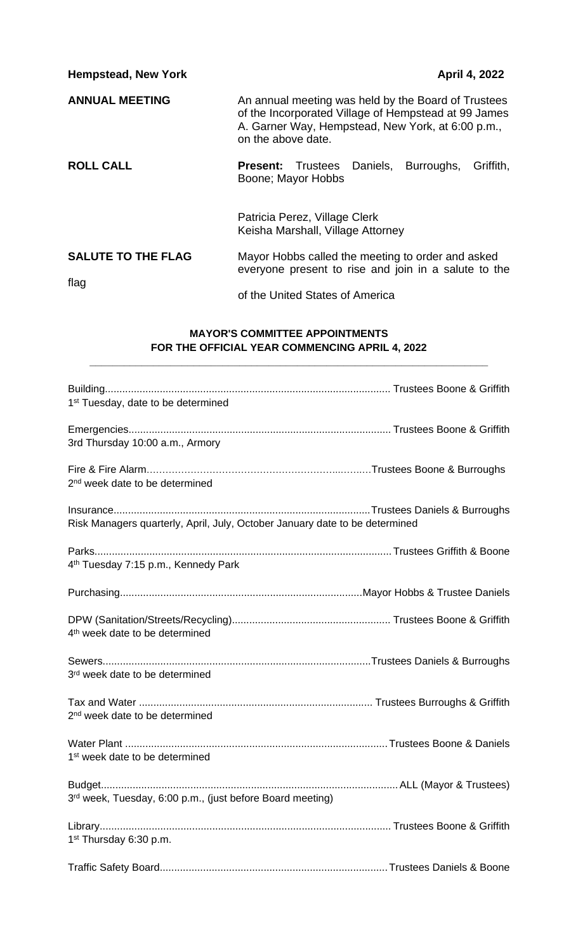| <b>Hempstead, New York</b> | April 4, 2022                                                                                                                                                                          |
|----------------------------|----------------------------------------------------------------------------------------------------------------------------------------------------------------------------------------|
| <b>ANNUAL MEETING</b>      | An annual meeting was held by the Board of Trustees<br>of the Incorporated Village of Hempstead at 99 James<br>A. Garner Way, Hempstead, New York, at 6:00 p.m.,<br>on the above date. |
| <b>ROLL CALL</b>           | Trustees Daniels, Burroughs,<br>Griffith,<br><b>Present:</b><br>Boone; Mayor Hobbs                                                                                                     |
|                            | Patricia Perez, Village Clerk<br>Keisha Marshall, Village Attorney                                                                                                                     |
| <b>SALUTE TO THE FLAG</b>  | Mayor Hobbs called the meeting to order and asked<br>everyone present to rise and join in a salute to the                                                                              |
| flag                       | of the United States of America                                                                                                                                                        |

## **MAYOR'S COMMITTEE APPOINTMENTS FOR THE OFFICIAL YEAR COMMENCING APRIL 4, 2022**

**\_\_\_\_\_\_\_\_\_\_\_\_\_\_\_\_\_\_\_\_\_\_\_\_\_\_\_\_\_\_\_\_\_\_\_\_\_\_\_\_\_\_\_\_\_\_\_\_\_\_\_\_\_\_\_\_\_\_\_\_\_\_\_\_\_\_\_\_\_**

| 1 <sup>st</sup> Tuesday, date to be determined                              |  |
|-----------------------------------------------------------------------------|--|
| 3rd Thursday 10:00 a.m., Armory                                             |  |
|                                                                             |  |
| 2 <sup>nd</sup> week date to be determined                                  |  |
| Risk Managers quarterly, April, July, October January date to be determined |  |
| 4 <sup>th</sup> Tuesday 7:15 p.m., Kennedy Park                             |  |
|                                                                             |  |
| 4 <sup>th</sup> week date to be determined                                  |  |
| 3 <sup>rd</sup> week date to be determined                                  |  |
| 2 <sup>nd</sup> week date to be determined                                  |  |
| 1 <sup>st</sup> week date to be determined                                  |  |
| 3rd week, Tuesday, 6:00 p.m., (just before Board meeting)                   |  |
| 1 <sup>st</sup> Thursday 6:30 p.m.                                          |  |
|                                                                             |  |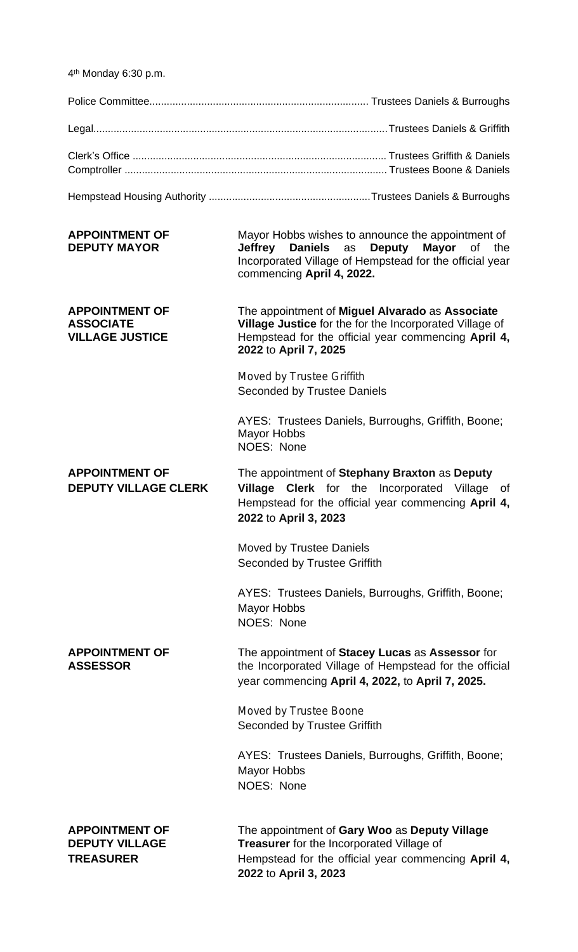4 th Monday 6:30 p.m.

| <b>APPOINTMENT OF</b><br><b>DEPUTY MAYOR</b>                        | Mayor Hobbs wishes to announce the appointment of<br>Jeffrey Daniels as Deputy Mayor of the<br>Incorporated Village of Hempstead for the official year<br>commencing April 4, 2022.        |
|---------------------------------------------------------------------|--------------------------------------------------------------------------------------------------------------------------------------------------------------------------------------------|
| <b>APPOINTMENT OF</b><br><b>ASSOCIATE</b><br><b>VILLAGE JUSTICE</b> | The appointment of Miguel Alvarado as Associate<br>Village Justice for the for the Incorporated Village of<br>Hempstead for the official year commencing April 4,<br>2022 to April 7, 2025 |
|                                                                     | Moved by Trustee Griffith<br><b>Seconded by Trustee Daniels</b>                                                                                                                            |

AYES: Trustees Daniels, Burroughs, Griffith, Boone; Mayor Hobbs NOES: None

**APPOINTMENT OF** The appointment of **Stephany Braxton** as **Deputy DEPUTY VILLAGE CLERK Village Clerk** for the Incorporated Village of

Hempstead for the official year commencing **April 4, 2022** to **April 3, 2023**

Moved by Trustee Daniels Seconded by Trustee Griffith

AYES: Trustees Daniels, Burroughs, Griffith, Boone; Mayor Hobbs NOES: None

**APPOINTMENT OF** The appointment of **Stacey Lucas** as **Assessor** for **ASSESSOR** the Incorporated Village of Hempstead for the official year commencing **April 4, 2022,** to **April 7, 2025.**

> Moved by Trustee Boone Seconded by Trustee Griffith

AYES: Trustees Daniels, Burroughs, Griffith, Boone; Mayor Hobbs NOES: None

**APPOINTMENT OF** The appointment of **Gary Woo** as **Deputy Village DEPUTY VILLAGE Treasurer** for the Incorporated Village of **TREASURER** Hempstead for the official year commencing **April 4, 2022** to **April 3, 2023**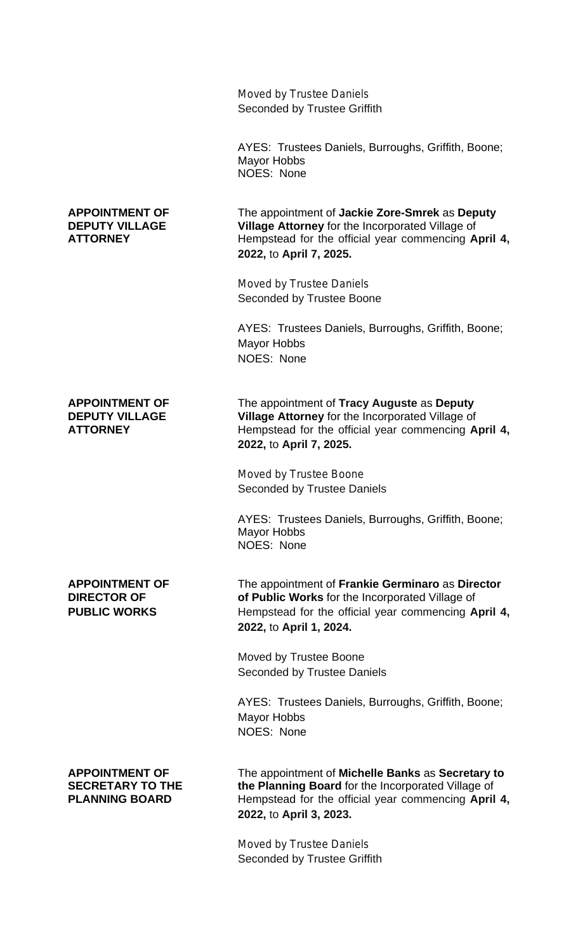| Moved by Trustee Daniels     |
|------------------------------|
| Seconded by Trustee Griffith |
|                              |

AYES: Trustees Daniels, Burroughs, Griffith, Boone; Mayor Hobbs NOES: None

**APPOINTMENT OF** The appointment of **Jackie Zore-Smrek** as **Deputy DEPUTY VILLAGE Village Attorney** for the Incorporated Village of **ATTORNEY** Hempstead for the official year commencing **April 4, 2022,** to **April 7, 2025.**

> Moved by Trustee Daniels Seconded by Trustee Boone

AYES: Trustees Daniels, Burroughs, Griffith, Boone; Mayor Hobbs NOES: None

**APPOINTMENT OF** The appointment of **Tracy Auguste** as **Deputy DEPUTY VILLAGE Village Attorney** for the Incorporated Village of **ATTORNEY** Hempstead for the official year commencing **April 4, 2022,** to **April 7, 2025.**

> Moved by Trustee Boone Seconded by Trustee Daniels

AYES: Trustees Daniels, Burroughs, Griffith, Boone; Mayor Hobbs NOES: None

**APPOINTMENT OF** The appointment of **Frankie Germinaro** as **Director DIRECTOR OF CONSERVIPT OF Public Works** for the Incorporated Village of **PUBLIC WORKS** Hempstead for the official year commencing April 4, **2022,** to **April 1, 2024.**

> Moved by Trustee Boone Seconded by Trustee Daniels

AYES: Trustees Daniels, Burroughs, Griffith, Boone; Mayor Hobbs NOES: None

**APPOINTMENT OF** The appointment of **Michelle Banks** as **Secretary to SECRETARY TO THE** the Planning Board for the Incorporated Village of **PLANNING BOARD** Hempstead for the official year commencing **April 4, 2022,** to **April 3, 2023.**

> Moved by Trustee Daniels Seconded by Trustee Griffith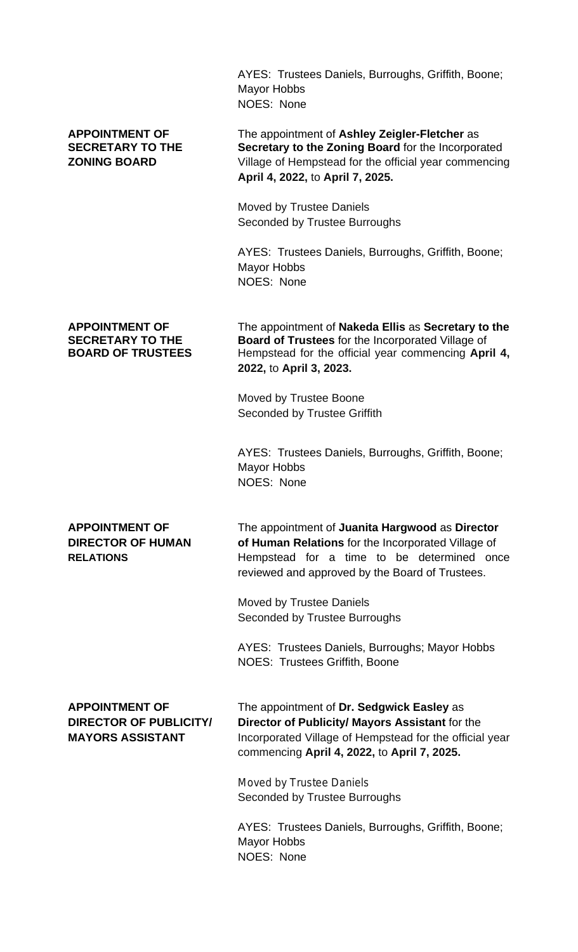AYES: Trustees Daniels, Burroughs, Griffith, Boone; Mayor Hobbs NOES: None

**APPOINTMENT OF** The appointment of **Ashley Zeigler-Fletcher** as **SECRETARY TO THE Secretary to the Zoning Board** for the Incorporated **ZONING BOARD** Village of Hempstead for the official year commencing **April 4, 2022,** to **April 7, 2025.**

> Moved by Trustee Daniels Seconded by Trustee Burroughs

AYES: Trustees Daniels, Burroughs, Griffith, Boone; Mayor Hobbs NOES: None

**APPOINTMENT OF** The appointment of **Nakeda Ellis** as **Secretary to the Board of Trustees** for the Incorporated Village of **BOARD OF TRUSTEES** Hempstead for the official year commencing **April 4, 2022,** to **April 3, 2023.**

> Moved by Trustee Boone Seconded by Trustee Griffith

AYES: Trustees Daniels, Burroughs, Griffith, Boone; Mayor Hobbs NOES: None

**APPOINTMENT OF** The appointment of **Juanita Hargwood** as **Director DIRECTOR OF HUMAN of Human Relations** for the Incorporated Village of **RELATIONS** Hempstead for a time to be determined once reviewed and approved by the Board of Trustees.

> Moved by Trustee Daniels Seconded by Trustee Burroughs

AYES: Trustees Daniels, Burroughs; Mayor Hobbs NOES: Trustees Griffith, Boone

**APPOINTMENT OF** The appointment of **Dr. Sedgwick Easley** as **DIRECTOR OF PUBLICITY/ Director of Publicity/ Mayors Assistant** for the **MAYORS ASSISTANT** Incorporated Village of Hempstead for the official year commencing **April 4, 2022,** to **April 7, 2025.**

> Moved by Trustee Daniels Seconded by Trustee Burroughs

AYES: Trustees Daniels, Burroughs, Griffith, Boone; Mayor Hobbs NOES: None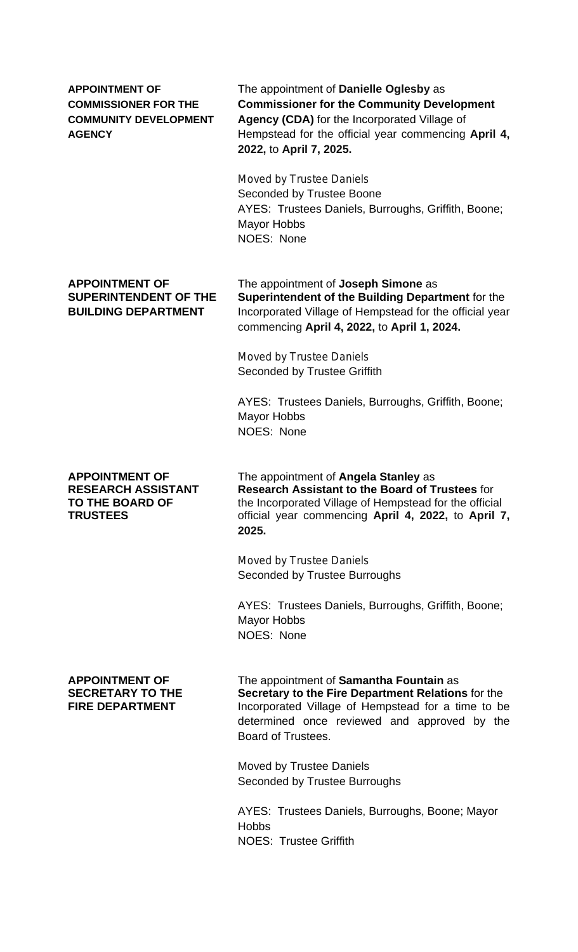**APPOINTMENT OF** The appointment of **Danielle Oglesby** as **COMMISSIONER FOR THE Commissioner for the Community Development COMMUNITY DEVELOPMENT Agency (CDA)** for the Incorporated Village of **AGENCY** Hempstead for the official year commencing **April 4, 2022,** to **April 7, 2025.**

> Moved by Trustee Daniels Seconded by Trustee Boone AYES: Trustees Daniels, Burroughs, Griffith, Boone; Mayor Hobbs NOES: None

**APPOINTMENT OF** The appointment of **Joseph Simone** as **SUPERINTENDENT OF THE Superintendent of the Building Department** for the **BUILDING DEPARTMENT** Incorporated Village of Hempstead for the official year commencing **April 4, 2022,** to **April 1, 2024.**

> Moved by Trustee Daniels Seconded by Trustee Griffith

AYES: Trustees Daniels, Burroughs, Griffith, Boone; Mayor Hobbs NOES: None

**APPOINTMENT OF** The appointment of **Angela Stanley** as **RESEARCH ASSISTANT Research Assistant to the Board of Trustees** for **TO THE BOARD OF** the Incorporated Village of Hempstead for the official **TRUSTEES** official year commencing **April 4, 2022,** to **April 7, 2025.**

> Moved by Trustee Daniels Seconded by Trustee Burroughs

AYES: Trustees Daniels, Burroughs, Griffith, Boone; Mayor Hobbs NOES: None

**APPOINTMENT OF** The appointment of **Samantha Fountain** as **SECRETARY TO THE Secretary to the Fire Department Relations** for the **FIRE DEPARTMENT** Incorporated Village of Hempstead for a time to be determined once reviewed and approved by the Board of Trustees.

> Moved by Trustee Daniels Seconded by Trustee Burroughs

AYES: Trustees Daniels, Burroughs, Boone; Mayor **Hobbs** NOES: Trustee Griffith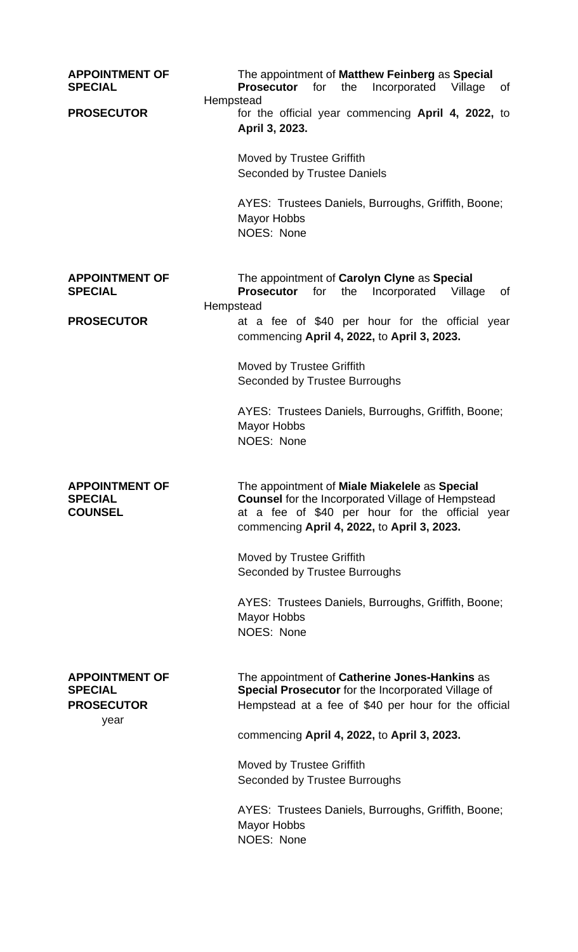| <b>APPOINTMENT OF</b><br><b>SPECIAL</b>                              | The appointment of Matthew Feinberg as Special<br><b>Prosecutor</b><br>for<br>the<br>Incorporated<br>Village<br>οf<br>Hempstead                                                                                                                                                                                                                               |
|----------------------------------------------------------------------|---------------------------------------------------------------------------------------------------------------------------------------------------------------------------------------------------------------------------------------------------------------------------------------------------------------------------------------------------------------|
| <b>PROSECUTOR</b>                                                    | for the official year commencing April 4, 2022, to<br>April 3, 2023.<br>Moved by Trustee Griffith<br><b>Seconded by Trustee Daniels</b><br>AYES: Trustees Daniels, Burroughs, Griffith, Boone;<br><b>Mayor Hobbs</b><br>NOES: None                                                                                                                            |
| <b>APPOINTMENT OF</b><br><b>SPECIAL</b>                              | The appointment of Carolyn Clyne as Special<br><b>Prosecutor</b><br>for<br>the<br>Incorporated<br>0f<br>Village<br>Hempstead                                                                                                                                                                                                                                  |
| <b>PROSECUTOR</b>                                                    | at a fee of \$40 per hour for the official year<br>commencing April 4, 2022, to April 3, 2023.<br>Moved by Trustee Griffith<br>Seconded by Trustee Burroughs<br>AYES: Trustees Daniels, Burroughs, Griffith, Boone;<br><b>Mayor Hobbs</b><br>NOES: None                                                                                                       |
| <b>APPOINTMENT OF</b><br><b>SPECIAL</b><br><b>COUNSEL</b>            | The appointment of Miale Miakelele as Special<br><b>Counsel</b> for the Incorporated Village of Hempstead<br>at a fee of \$40 per hour for the official year<br>commencing April 4, 2022, to April 3, 2023.<br>Moved by Trustee Griffith<br>Seconded by Trustee Burroughs<br>AYES: Trustees Daniels, Burroughs, Griffith, Boone;<br>Mayor Hobbs<br>NOES: None |
| <b>APPOINTMENT OF</b><br><b>SPECIAL</b><br><b>PROSECUTOR</b><br>year | The appointment of Catherine Jones-Hankins as<br>Special Prosecutor for the Incorporated Village of<br>Hempstead at a fee of \$40 per hour for the official<br>commencing April 4, 2022, to April 3, 2023.<br>Moved by Trustee Griffith<br>Seconded by Trustee Burroughs<br>AYES: Trustees Daniels, Burroughs, Griffith, Boone;<br>Mayor Hobbs<br>NOES: None  |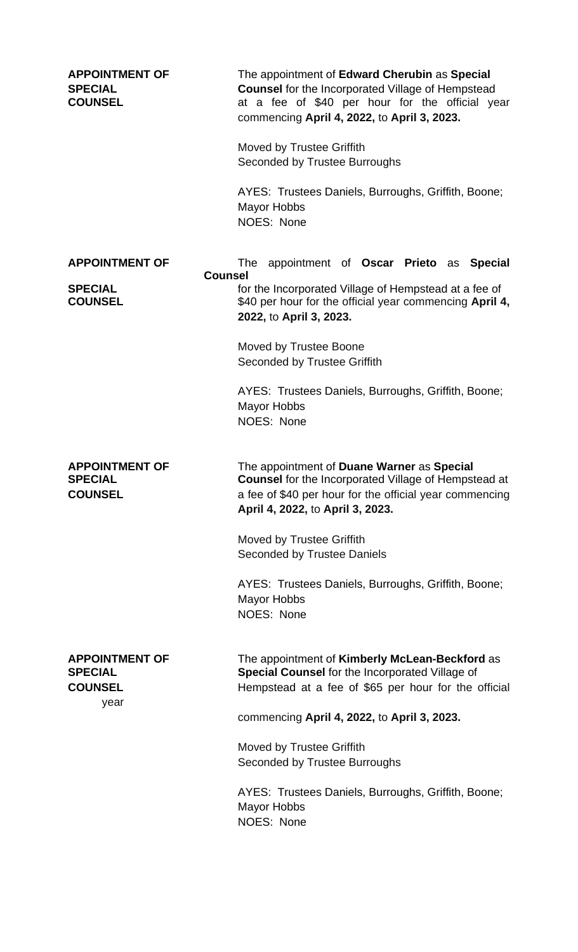| <b>APPOINTMENT OF</b><br><b>SPECIAL</b><br><b>COUNSEL</b>         | The appointment of Edward Cherubin as Special<br><b>Counsel</b> for the Incorporated Village of Hempstead<br>at a fee of \$40 per hour for the official year<br>commencing April 4, 2022, to April 3, 2023.<br>Moved by Trustee Griffith<br>Seconded by Trustee Burroughs<br>AYES: Trustees Daniels, Burroughs, Griffith, Boone;<br>Mayor Hobbs<br>NOES: None |
|-------------------------------------------------------------------|---------------------------------------------------------------------------------------------------------------------------------------------------------------------------------------------------------------------------------------------------------------------------------------------------------------------------------------------------------------|
| <b>APPOINTMENT OF</b><br><b>Counsel</b>                           | appointment of Oscar Prieto as Special<br>The                                                                                                                                                                                                                                                                                                                 |
| <b>SPECIAL</b><br><b>COUNSEL</b>                                  | for the Incorporated Village of Hempstead at a fee of<br>\$40 per hour for the official year commencing April 4,<br>2022, to April 3, 2023.                                                                                                                                                                                                                   |
|                                                                   | Moved by Trustee Boone<br><b>Seconded by Trustee Griffith</b>                                                                                                                                                                                                                                                                                                 |
|                                                                   | AYES: Trustees Daniels, Burroughs, Griffith, Boone;<br><b>Mayor Hobbs</b><br><b>NOES: None</b>                                                                                                                                                                                                                                                                |
| <b>APPOINTMENT OF</b><br><b>SPECIAL</b><br><b>COUNSEL</b>         | The appointment of Duane Warner as Special<br>Counsel for the Incorporated Village of Hempstead at<br>a fee of \$40 per hour for the official year commencing<br>April 4, 2022, to April 3, 2023.                                                                                                                                                             |
|                                                                   | Moved by Trustee Griffith<br><b>Seconded by Trustee Daniels</b>                                                                                                                                                                                                                                                                                               |
|                                                                   | AYES: Trustees Daniels, Burroughs, Griffith, Boone;<br>Mayor Hobbs<br><b>NOES: None</b>                                                                                                                                                                                                                                                                       |
| <b>APPOINTMENT OF</b><br><b>SPECIAL</b><br><b>COUNSEL</b><br>year | The appointment of Kimberly McLean-Beckford as<br>Special Counsel for the Incorporated Village of<br>Hempstead at a fee of \$65 per hour for the official                                                                                                                                                                                                     |
|                                                                   | commencing April 4, 2022, to April 3, 2023.                                                                                                                                                                                                                                                                                                                   |
|                                                                   | Moved by Trustee Griffith<br>Seconded by Trustee Burroughs                                                                                                                                                                                                                                                                                                    |
|                                                                   | AYES: Trustees Daniels, Burroughs, Griffith, Boone;<br><b>Mayor Hobbs</b><br><b>NOES: None</b>                                                                                                                                                                                                                                                                |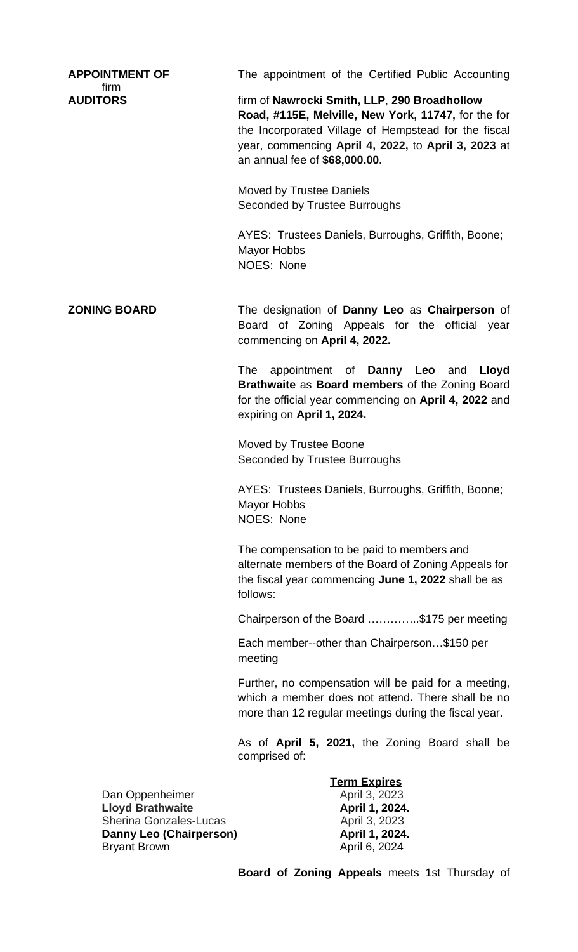| <b>APPOINTMENT OF</b>                                    | The appointment of the Certified Public Accounting                                                                                                                                                                                                  |
|----------------------------------------------------------|-----------------------------------------------------------------------------------------------------------------------------------------------------------------------------------------------------------------------------------------------------|
| firm<br><b>AUDITORS</b>                                  | firm of Nawrocki Smith, LLP, 290 Broadhollow<br>Road, #115E, Melville, New York, 11747, for the for<br>the Incorporated Village of Hempstead for the fiscal<br>year, commencing April 4, 2022, to April 3, 2023 at<br>an annual fee of \$68,000.00. |
|                                                          | Moved by Trustee Daniels<br>Seconded by Trustee Burroughs                                                                                                                                                                                           |
|                                                          | AYES: Trustees Daniels, Burroughs, Griffith, Boone;<br><b>Mayor Hobbs</b><br>NOES: None                                                                                                                                                             |
| <b>ZONING BOARD</b>                                      | The designation of Danny Leo as Chairperson of<br>Board of Zoning Appeals for the official year<br>commencing on April 4, 2022.                                                                                                                     |
|                                                          | appointment of <b>Danny Leo</b> and<br>The<br>Lloyd<br>Brathwaite as Board members of the Zoning Board<br>for the official year commencing on April 4, 2022 and<br>expiring on April 1, 2024.                                                       |
|                                                          | Moved by Trustee Boone<br>Seconded by Trustee Burroughs                                                                                                                                                                                             |
|                                                          | AYES: Trustees Daniels, Burroughs, Griffith, Boone;<br><b>Mayor Hobbs</b><br>NOES: None                                                                                                                                                             |
|                                                          | The compensation to be paid to members and<br>alternate members of the Board of Zoning Appeals for<br>the fiscal year commencing June 1, 2022 shall be as<br>follows:                                                                               |
|                                                          | Chairperson of the Board \$175 per meeting                                                                                                                                                                                                          |
|                                                          | Each member--other than Chairperson\$150 per<br>meeting                                                                                                                                                                                             |
|                                                          | Further, no compensation will be paid for a meeting,<br>which a member does not attend. There shall be no<br>more than 12 regular meetings during the fiscal year.                                                                                  |
|                                                          | As of April 5, 2021, the Zoning Board shall be<br>comprised of:                                                                                                                                                                                     |
|                                                          | <b>Term Expires</b>                                                                                                                                                                                                                                 |
| Dan Oppenheimer                                          | April 3, 2023                                                                                                                                                                                                                                       |
| <b>Lloyd Brathwaite</b><br><b>Sherina Gonzales-Lucas</b> | April 1, 2024.<br>April 3, 2023                                                                                                                                                                                                                     |
| Danny Leo (Chairperson)<br><b>Bryant Brown</b>           | April 1, 2024.<br>April 6, 2024                                                                                                                                                                                                                     |
|                                                          |                                                                                                                                                                                                                                                     |

**Board of Zoning Appeals** meets 1st Thursday of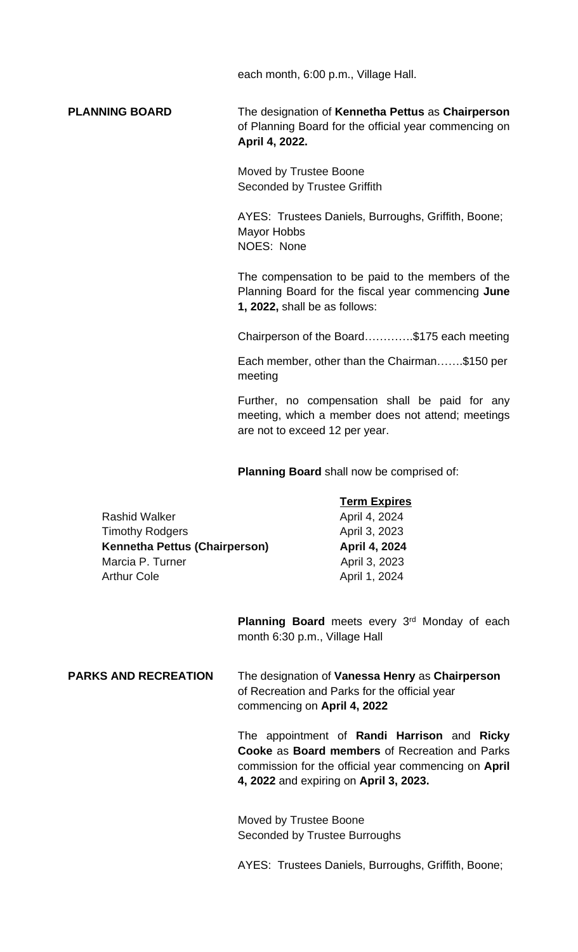each month, 6:00 p.m., Village Hall.

**PLANNING BOARD** The designation of **Kennetha Pettus** as **Chairperson** of Planning Board for the official year commencing on **April 4, 2022.**

> Moved by Trustee Boone Seconded by Trustee Griffith

AYES: Trustees Daniels, Burroughs, Griffith, Boone; Mayor Hobbs NOES: None

The compensation to be paid to the members of the Planning Board for the fiscal year commencing **June 1, 2022,** shall be as follows:

Chairperson of the Board………….\$175 each meeting

Each member, other than the Chairman…….\$150 per meeting

Further, no compensation shall be paid for any meeting, which a member does not attend; meetings are not to exceed 12 per year.

**Planning Board** shall now be comprised of:

|                                      | <b>Term Expires</b> |
|--------------------------------------|---------------------|
| <b>Rashid Walker</b>                 | April 4, 2024       |
| <b>Timothy Rodgers</b>               | April 3, 2023       |
| <b>Kennetha Pettus (Chairperson)</b> | April 4, 2024       |
| Marcia P. Turner                     | April 3, 2023       |
| <b>Arthur Cole</b>                   | April 1, 2024       |

Planning Board meets every 3<sup>rd</sup> Monday of each month 6:30 p.m., Village Hall

# **PARKS AND RECREATION** The designation of **Vanessa Henry** as **Chairperson**  of Recreation and Parks for the official year commencing on **April 4, 2022**

The appointment of **Randi Harrison** and **Ricky Cooke** as **Board members** of Recreation and Parks commission for the official year commencing on **April 4, 2022** and expiring on **April 3, 2023.**

Moved by Trustee Boone Seconded by Trustee Burroughs

AYES: Trustees Daniels, Burroughs, Griffith, Boone;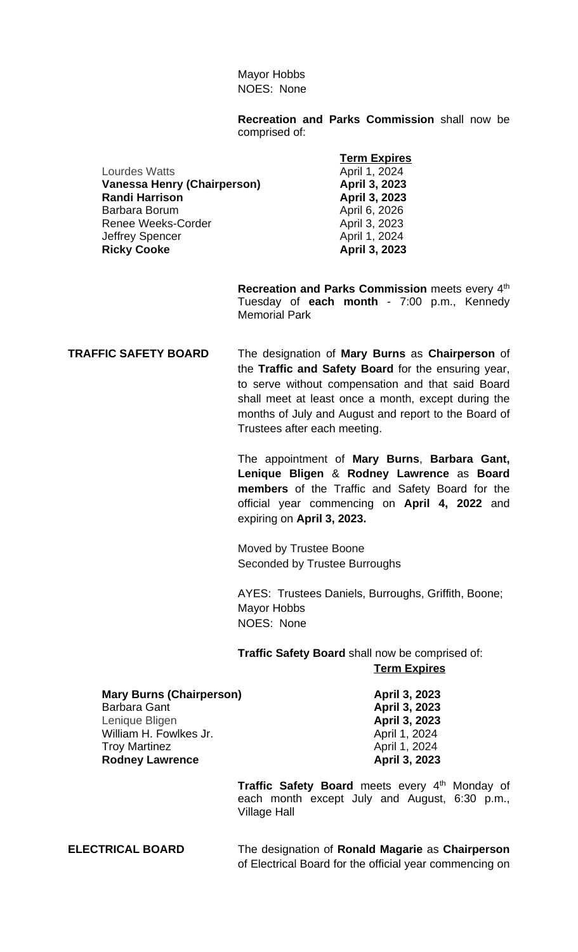Mayor Hobbs NOES: None

**Recreation and Parks Commission** shall now be comprised of:

Lourdes Watts **April 1, 2024 Vanessa Henry (Chairperson) April 3, 2023 Randi Harrison April 3, 2023** Barbara Borum (April 6, 2026)<br>Renee Weeks-Corder (April 3, 2023) Renee Weeks-Corder Jeffrey Spencer **April 1, 2024 Ricky Cooke April 3, 2023** 

**Term Expires**

**Recreation and Parks Commission** meets every 4 th Tuesday of **each month** - 7:00 p.m., Kennedy Memorial Park

**TRAFFIC SAFETY BOARD** The designation of **Mary Burns** as **Chairperson** of the **Traffic and Safety Board** for the ensuring year, to serve without compensation and that said Board shall meet at least once a month, except during the months of July and August and report to the Board of Trustees after each meeting.

> The appointment of **Mary Burns**, **Barbara Gant, Lenique Bligen** & **Rodney Lawrence** as **Board members** of the Traffic and Safety Board for the official year commencing on **April 4, 2022** and expiring on **April 3, 2023.**

Moved by Trustee Boone Seconded by Trustee Burroughs

AYES: Trustees Daniels, Burroughs, Griffith, Boone; Mayor Hobbs NOES: None

**Traffic Safety Board** shall now be comprised of: **Term Expires**

**Mary Burns (Chairperson)** April 3, 2023 Barbara Gant **April 3, 2023** Lenique Bligen **April 3, 2023** William H. Fowlkes Jr. **April 1, 2024** Troy Martinez **April 1, 2024 Rodney Lawrence April 3, 2023** 

> **Traffic Safety Board** meets every 4 th Monday of each month except July and August, 6:30 p.m., Village Hall

**ELECTRICAL BOARD** The designation of **Ronald Magarie** as **Chairperson** of Electrical Board for the official year commencing on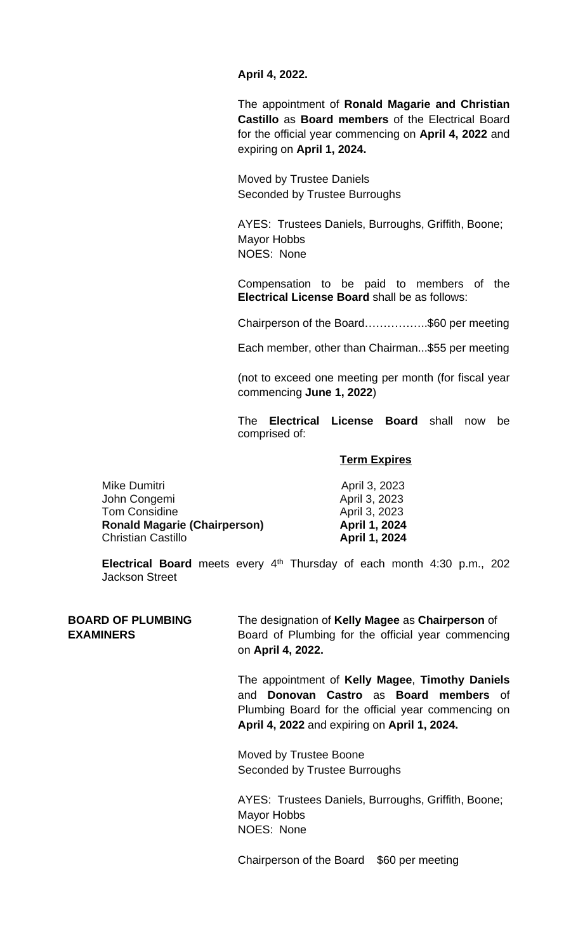**April 4, 2022.**

The appointment of **Ronald Magarie and Christian Castillo** as **Board members** of the Electrical Board for the official year commencing on **April 4, 2022** and expiring on **April 1, 2024.**

Moved by Trustee Daniels Seconded by Trustee Burroughs

AYES: Trustees Daniels, Burroughs, Griffith, Boone; Mayor Hobbs NOES: None

Compensation to be paid to members of the **Electrical License Board** shall be as follows:

Chairperson of the Board……………..\$60 per meeting

Each member, other than Chairman...\$55 per meeting

(not to exceed one meeting per month (for fiscal year commencing **June 1, 2022**)

The **Electrical License Board** shall now be comprised of:

### **Term Expires**

| Mike Dumitri                        | April 3, 2023 |
|-------------------------------------|---------------|
| John Congemi                        | April 3, 2023 |
| <b>Tom Considine</b>                | April 3, 2023 |
| <b>Ronald Magarie (Chairperson)</b> | April 1, 2024 |
| <b>Christian Castillo</b>           | April 1, 2024 |

**Electrical Board** meets every 4 th Thursday of each month 4:30 p.m., 202 Jackson Street

**BOARD OF PLUMBING** The designation of **Kelly Magee** as **Chairperson** of **EXAMINERS** Board of Plumbing for the official year commencing on **April 4, 2022.**

> The appointment of **Kelly Magee**, **Timothy Daniels** and **Donovan Castro** as **Board members** of Plumbing Board for the official year commencing on **April 4, 2022** and expiring on **April 1, 2024.**

Moved by Trustee Boone Seconded by Trustee Burroughs

AYES: Trustees Daniels, Burroughs, Griffith, Boone; Mayor Hobbs NOES: None

Chairperson of the Board \$60 per meeting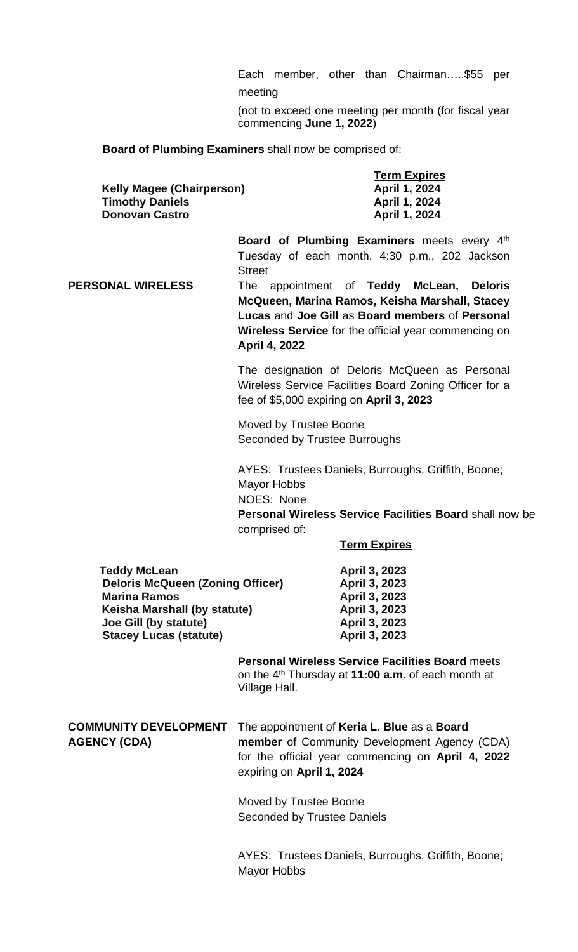Each member, other than Chairman…..\$55 per meeting

(not to exceed one meeting per month (for fiscal year commencing **June 1, 2022**)

**Board of Plumbing Examiners** shall now be comprised of:

| <b>Kelly Magee (Chairperson)</b> | <b>Term Expires</b><br>April 1, 2024 |
|----------------------------------|--------------------------------------|
| <b>Timothy Daniels</b>           | April 1, 2024                        |
| <b>Donovan Castro</b>            | April 1, 2024                        |

**Board of Plumbing Examiners** meets every 4 th Tuesday of each month, 4:30 p.m., 202 Jackson **Street** 

**PERSONAL WIRELESS** The appointment of **Teddy McLean, Deloris McQueen, Marina Ramos, Keisha Marshall, Stacey Lucas** and **Joe Gill** as **Board members** of **Personal Wireless Service** for the official year commencing on **April 4, 2022**

> The designation of Deloris McQueen as Personal Wireless Service Facilities Board Zoning Officer for a fee of \$5,000 expiring on **April 3, 2023**

Moved by Trustee Boone Seconded by Trustee Burroughs

AYES: Trustees Daniels, Burroughs, Griffith, Boone; Mayor Hobbs NOES: None **Personal Wireless Service Facilities Board** shall now be comprised of:

**Term Expires**

| <b>Teddy McLean</b>                     |
|-----------------------------------------|
| <b>Deloris McQueen (Zoning Officer)</b> |
| <b>Marina Ramos</b>                     |
| Keisha Marshall (by statute)            |
| Joe Gill (by statute)                   |
| <b>Stacey Lucas (statute)</b>           |

 **Teddy McLean April 3, 2023 Deloris McQueen (Zoning Officer) April 3, 2023 Marina Ramos April 3, 2023 Keisha Marshall (by statute) April 3, 2023 Joe Gill (by statute) April 3, 2023 Stacey Lucas (statute) April 3, 2023**

**Personal Wireless Service Facilities Board** meets on the 4 th Thursday at **11:00 a.m.** of each month at Village Hall.

**COMMUNITY DEVELOPMENT** The appointment of **Keria L. Blue** as a **Board AGENCY (CDA) member** of Community Development Agency (CDA) for the official year commencing on **April 4, 2022** expiring on **April 1, 2024**

> Moved by Trustee Boone Seconded by Trustee Daniels

AYES: Trustees Daniels, Burroughs, Griffith, Boone; Mayor Hobbs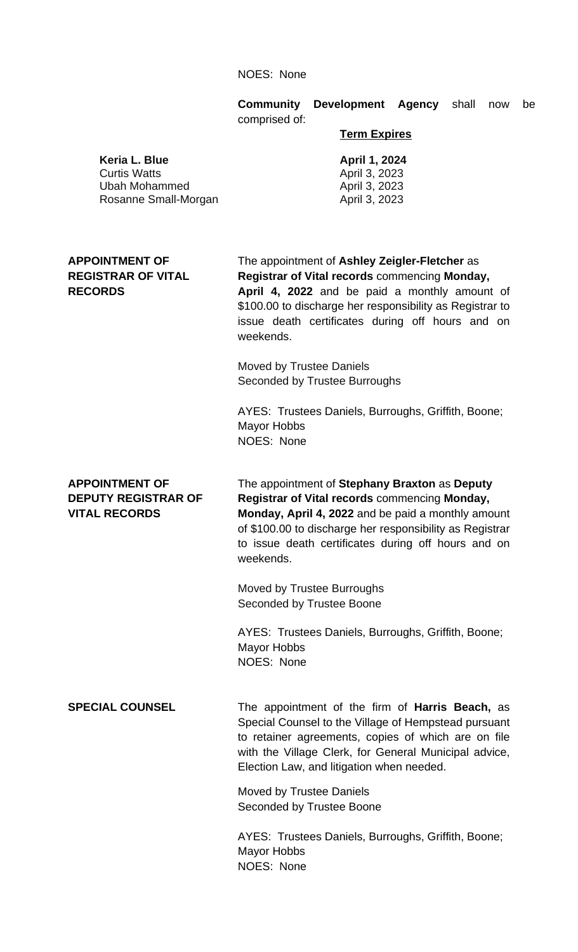### NOES: None

**Community Development Agency** shall now be comprised of:

### **Term Expires**

 **Keria L. Blue April 1, 2024** 

**Curtis Watts April 3, 2023** Ubah Mohammed April 3, 2023 Rosanne Small-Morgan **April 3, 2023** 

# **APPOINTMENT OF** The appointment of **Ashley Zeigler-Fletcher** as **REGISTRAR OF VITAL Registrar of Vital records** commencing **Monday, RECORDS April 4, 2022** and be paid a monthly amount of

\$100.00 to discharge her responsibility as Registrar to issue death certificates during off hours and on weekends.

Moved by Trustee Daniels Seconded by Trustee Burroughs

AYES: Trustees Daniels, Burroughs, Griffith, Boone; Mayor Hobbs NOES: None

**APPOINTMENT OF** The appointment of **Stephany Braxton** as **Deputy DEPUTY REGISTRAR OF Registrar of Vital records** commencing **Monday, VITAL RECORDS Monday, April 4, 2022** and be paid a monthly amount of \$100.00 to discharge her responsibility as Registrar to issue death certificates during off hours and on weekends.

> Moved by Trustee Burroughs Seconded by Trustee Boone

AYES: Trustees Daniels, Burroughs, Griffith, Boone; Mayor Hobbs NOES: None

**SPECIAL COUNSEL** The appointment of the firm of **Harris Beach,** as Special Counsel to the Village of Hempstead pursuant to retainer agreements, copies of which are on file with the Village Clerk, for General Municipal advice, Election Law, and litigation when needed.

> Moved by Trustee Daniels Seconded by Trustee Boone

AYES: Trustees Daniels, Burroughs, Griffith, Boone; Mayor Hobbs NOES: None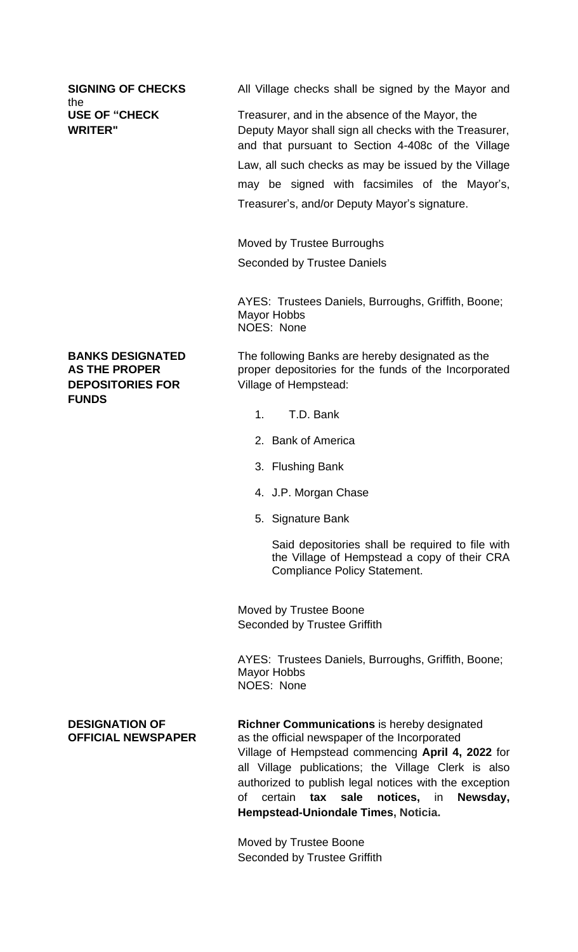the<br>USE OF "CHECK

**SIGNING OF CHECKS** All Village checks shall be signed by the Mayor and

Treasurer, and in the absence of the Mayor, the **WRITER"** Deputy Mayor shall sign all checks with the Treasurer, and that pursuant to Section 4-408c of the Village Law, all such checks as may be issued by the Village may be signed with facsimiles of the Mayor's, Treasurer's, and/or Deputy Mayor's signature.

> Moved by Trustee Burroughs Seconded by Trustee Daniels

AYES: Trustees Daniels, Burroughs, Griffith, Boone; Mayor Hobbs NOES: None

**DEPOSITORIES FOR** Village of Hempstead: **FUNDS**

**BANKS DESIGNATED** The following Banks are hereby designated as the **AS THE PROPER** proper depositories for the funds of the Incorporated

- 1. T.D. Bank
- 2. Bank of America
- 3. Flushing Bank
- 4. J.P. Morgan Chase
- 5. Signature Bank

Said depositories shall be required to file with the Village of Hempstead a copy of their CRA Compliance Policy Statement.

Moved by Trustee Boone Seconded by Trustee Griffith

AYES: Trustees Daniels, Burroughs, Griffith, Boone; Mayor Hobbs NOES: None

**DESIGNATION OF Richner Communications** is hereby designated **OFFICIAL NEWSPAPER** as the official newspaper of the Incorporated Village of Hempstead commencing **April 4, 2022** for all Village publications; the Village Clerk is also authorized to publish legal notices with the exception of certain **tax sale notices,** in **Newsday, Hempstead-Uniondale Times, Noticia.**

> Moved by Trustee Boone Seconded by Trustee Griffith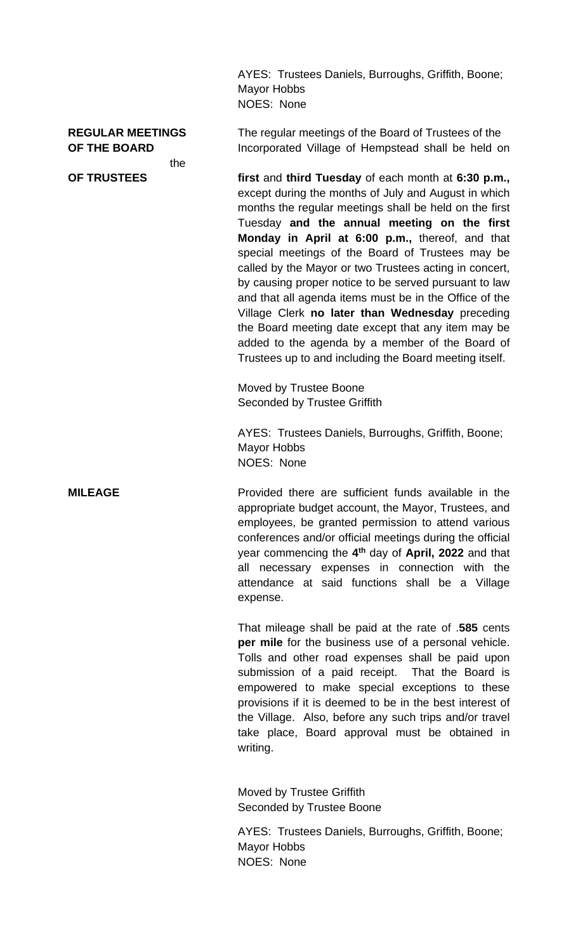AYES: Trustees Daniels, Burroughs, Griffith, Boone; Mayor Hobbs NOES: None

the

**REGULAR MEETINGS** The regular meetings of the Board of Trustees of the **OF THE BOARD** Incorporated Village of Hempstead shall be held on

**OF TRUSTEES first** and **third Tuesday** of each month at **6:30 p.m.,** except during the months of July and August in which months the regular meetings shall be held on the first Tuesday **and the annual meeting on the first Monday in April at 6:00 p.m.,** thereof, and that special meetings of the Board of Trustees may be called by the Mayor or two Trustees acting in concert, by causing proper notice to be served pursuant to law and that all agenda items must be in the Office of the Village Clerk **no later than Wednesday** preceding the Board meeting date except that any item may be added to the agenda by a member of the Board of Trustees up to and including the Board meeting itself.

> Moved by Trustee Boone Seconded by Trustee Griffith

AYES: Trustees Daniels, Burroughs, Griffith, Boone; Mayor Hobbs NOES: None

**MILEAGE** Provided there are sufficient funds available in the appropriate budget account, the Mayor, Trustees, and employees, be granted permission to attend various conferences and/or official meetings during the official year commencing the **4 th** day of **April, 2022** and that all necessary expenses in connection with the attendance at said functions shall be a Village expense.

> That mileage shall be paid at the rate of .**585** cents **per mile** for the business use of a personal vehicle. Tolls and other road expenses shall be paid upon submission of a paid receipt. That the Board is empowered to make special exceptions to these provisions if it is deemed to be in the best interest of the Village. Also, before any such trips and/or travel take place, Board approval must be obtained in writing.

Moved by Trustee Griffith Seconded by Trustee Boone

AYES: Trustees Daniels, Burroughs, Griffith, Boone; Mayor Hobbs NOES: None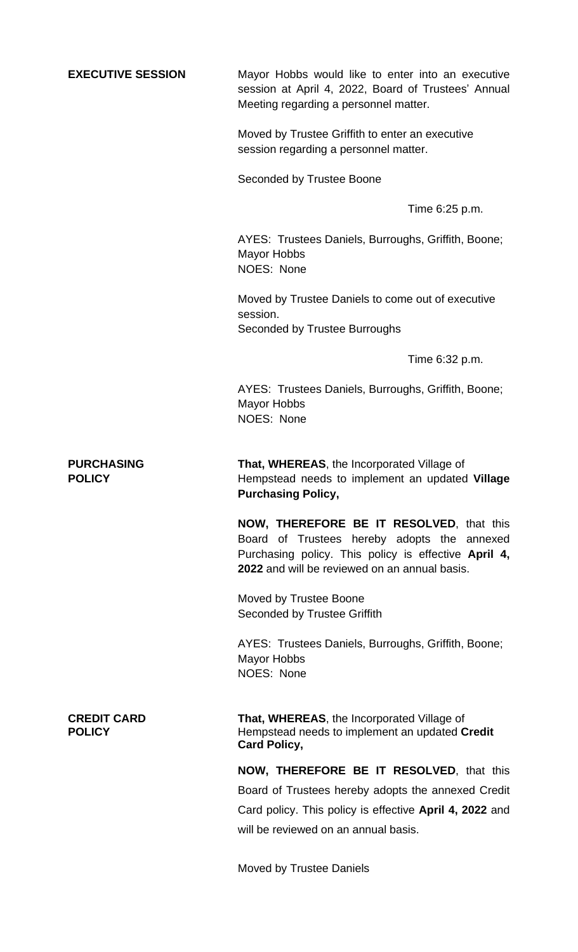**EXECUTIVE SESSION** Mayor Hobbs would like to enter into an executive session at April 4, 2022, Board of Trustees' Annual Meeting regarding a personnel matter. Moved by Trustee Griffith to enter an executive session regarding a personnel matter. Seconded by Trustee Boone Time 6:25 p.m. AYES: Trustees Daniels, Burroughs, Griffith, Boone; Mayor Hobbs NOES: None Moved by Trustee Daniels to come out of executive session. Seconded by Trustee Burroughs Time 6:32 p.m. AYES: Trustees Daniels, Burroughs, Griffith, Boone; Mayor Hobbs NOES: None **PURCHASING That, WHEREAS**, the Incorporated Village of **POLICY** Hempstead needs to implement an updated **Village Purchasing Policy, NOW, THEREFORE BE IT RESOLVED**, that this Board of Trustees hereby adopts the annexed Purchasing policy. This policy is effective **April 4, 2022** and will be reviewed on an annual basis. Moved by Trustee Boone Seconded by Trustee Griffith AYES: Trustees Daniels, Burroughs, Griffith, Boone; Mayor Hobbs NOES: None **CREDIT CARD That, WHEREAS**, the Incorporated Village of **POLICY** Hempstead needs to implement an updated **Credit Card Policy, NOW, THEREFORE BE IT RESOLVED**, that this Board of Trustees hereby adopts the annexed Credit Card policy. This policy is effective **April 4, 2022** and will be reviewed on an annual basis.

Moved by Trustee Daniels